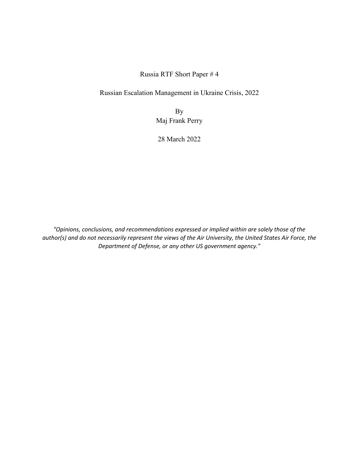Russia RTF Short Paper # 4

Russian Escalation Management in Ukraine Crisis, 2022

By Maj Frank Perry

28 March 2022

*"Opinions, conclusions, and recommendations expressed or implied within are solely those of the author(s) and do not necessarily represent the views of the Air University, the United States Air Force, the Department of Defense, or any other US government agency."*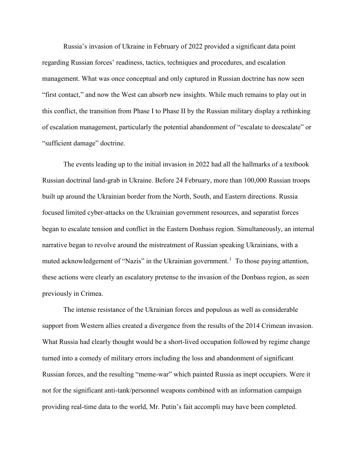Russia's invasion of Ukraine in February of 2022 provided a significant data point regarding Russian forces' readiness, tactics, techniques and procedures, and escalation management. What was once conceptual and only captured in Russian doctrine has now seen "first contact," and now the West can absorb new insights. While much remains to play out in this conflict, the transition from Phase I to Phase II by the Russian military display a rethinking of escalation management, particularly the potential abandonment of "escalate to deescalate" or "sufficient damage" doctrine.

The events leading up to the initial invasion in 2022 had all the hallmarks of a textbook Russian doctrinal land-grab in Ukraine. Before 24 February, more than 100,000 Russian troops built up around the Ukrainian border from the North, South, and Eastern directions. Russia focused limited cyber-attacks on the Ukrainian government resources, and separatist forces began to escalate tension and conflict in the Eastern Donbass region. Simultaneously, an internal narrative began to revolve around the mistreatment of Russian speaking Ukrainians, with a muted acknowledgement of "Nazis" in the Ukrainian government.<sup>[1](#page-3-0)</sup> To those paying attention, these actions were clearly an escalatory pretense to the invasion of the Donbass region, as seen previously in Crimea.

The intense resistance of the Ukrainian forces and populous as well as considerable support from Western allies created a divergence from the results of the 2014 Crimean invasion. What Russia had clearly thought would be a short-lived occupation followed by regime change turned into a comedy of military errors including the loss and abandonment of significant Russian forces, and the resulting "meme-war" which painted Russia as inept occupiers. Were it not for the significant anti-tank/personnel weapons combined with an information campaign providing real-time data to the world, Mr. Putin's fait accompli may have been completed.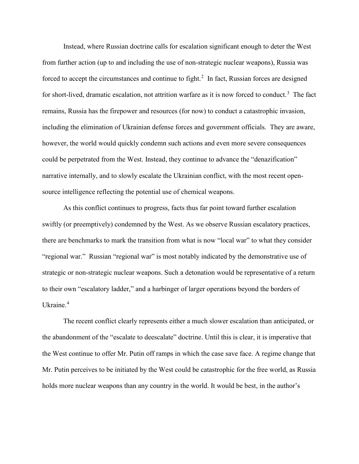Instead, where Russian doctrine calls for escalation significant enough to deter the West from further action (up to and including the use of non-strategic nuclear weapons), Russia was forced to accept the circumstances and continue to fight.<sup>[2](#page-3-1)</sup> In fact, Russian forces are designed for short-lived, dramatic escalation, not attrition warfare as it is now forced to conduct.<sup>[3](#page-3-2)</sup> The fact remains, Russia has the firepower and resources (for now) to conduct a catastrophic invasion, including the elimination of Ukrainian defense forces and government officials. They are aware, however, the world would quickly condemn such actions and even more severe consequences could be perpetrated from the West. Instead, they continue to advance the "denazification" narrative internally, and to slowly escalate the Ukrainian conflict, with the most recent opensource intelligence reflecting the potential use of chemical weapons.

As this conflict continues to progress, facts thus far point toward further escalation swiftly (or preemptively) condemned by the West. As we observe Russian escalatory practices, there are benchmarks to mark the transition from what is now "local war" to what they consider "regional war." Russian "regional war" is most notably indicated by the demonstrative use of strategic or non-strategic nuclear weapons. Such a detonation would be representative of a return to their own "escalatory ladder," and a harbinger of larger operations beyond the borders of Ukraine.[4](#page-3-3)

The recent conflict clearly represents either a much slower escalation than anticipated, or the abandonment of the "escalate to deescalate" doctrine. Until this is clear, it is imperative that the West continue to offer Mr. Putin off ramps in which the case save face. A regime change that Mr. Putin perceives to be initiated by the West could be catastrophic for the free world, as Russia holds more nuclear weapons than any country in the world. It would be best, in the author's